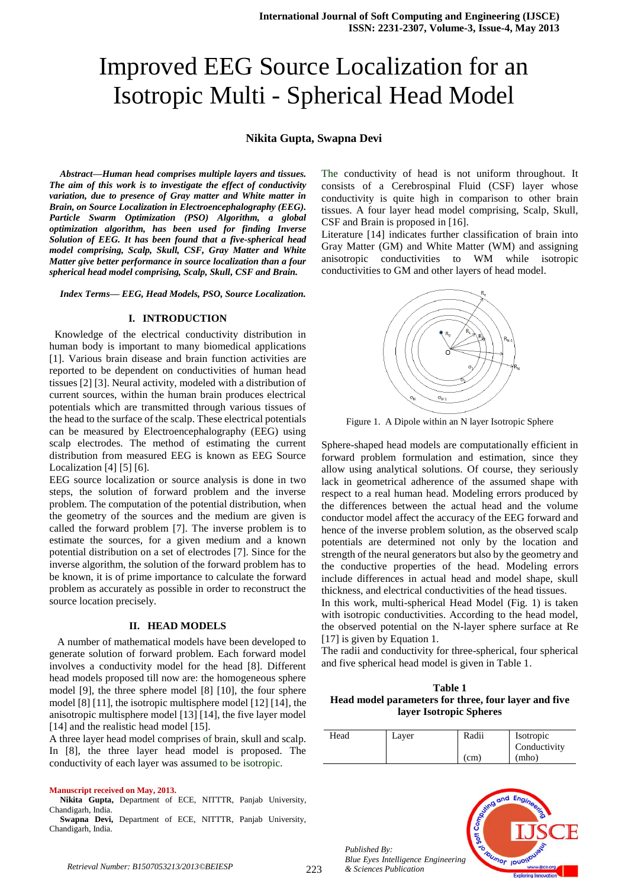# Improved EEG Source Localization for an Isotropic Multi - Spherical Head Model

# **Nikita Gupta, Swapna Devi**

*Abstract—Human head comprises multiple layers and tissues. The aim of this work is to investigate the effect of conductivity variation, due to presence of Gray matter and White matter in Brain, on Source Localization in Electroencephalography (EEG). Particle Swarm Optimization (PSO) Algorithm, a global optimization algorithm, has been used for finding Inverse Solution of EEG. It has been found that a five-spherical head model comprising, Scalp, Skull, CSF, Gray Matter and White Matter give better performance in source localization than a four spherical head model comprising, Scalp, Skull, CSF and Brain.*

*Index Terms— EEG, Head Models, PSO, Source Localization.*

## **I. INTRODUCTION**

 Knowledge of the electrical conductivity distribution in human body is important to many biomedical applications [1]. Various brain disease and brain function activities are reported to be dependent on conductivities of human head tissues [2] [3]. Neural activity, modeled with a distribution of current sources, within the human brain produces electrical potentials which are transmitted through various tissues of the head to the surface of the scalp. These electrical potentials can be measured by Electroencephalography (EEG) using scalp electrodes. The method of estimating the current distribution from measured EEG is known as EEG Source Localization [4] [5] [6].

EEG source localization or source analysis is done in two steps, the solution of forward problem and the inverse problem. The computation of the potential distribution, when the geometry of the sources and the medium are given is called the forward problem [7]. The inverse problem is to estimate the sources, for a given medium and a known potential distribution on a set of electrodes [7]. Since for the inverse algorithm, the solution of the forward problem has to be known, it is of prime importance to calculate the forward problem as accurately as possible in order to reconstruct the source location precisely.

#### **II. HEAD MODELS**

 A number of mathematical models have been developed to generate solution of forward problem. Each forward model involves a conductivity model for the head [8]. Different head models proposed till now are: the homogeneous sphere model [9], the three sphere model [8] [10], the four sphere model [8] [11], the isotropic multisphere model [12] [14], the anisotropic multisphere model [13] [14], the five layer model [14] and the realistic head model [15].

A three layer head model comprises of brain, skull and scalp. In [8], the three layer head model is proposed. The conductivity of each layer was assumed to be isotropic.

#### **Manuscript received on May, 2013.**

**Nikita Gupta,** Department of ECE, NITTTR, Panjab University, Chandigarh, India.

**Swapna Devi,** Department of ECE, NITTTR, Panjab University, Chandigarh, India.

The conductivity of head is not uniform throughout. It consists of a Cerebrospinal Fluid (CSF) layer whose conductivity is quite high in comparison to other brain tissues. A four layer head model comprising, Scalp, Skull, CSF and Brain is proposed in [16].

Literature [14] indicates further classification of brain into Gray Matter (GM) and White Matter (WM) and assigning anisotropic conductivities to WM while isotropic conductivities to GM and other layers of head model.



Figure 1. A Dipole within an N layer Isotropic Sphere

Sphere-shaped head models are computationally efficient in forward problem formulation and estimation, since they allow using analytical solutions. Of course, they seriously lack in geometrical adherence of the assumed shape with respect to a real human head. Modeling errors produced by the differences between the actual head and the volume conductor model affect the accuracy of the EEG forward and hence of the inverse problem solution, as the observed scalp potentials are determined not only by the location and strength of the neural generators but also by the geometry and the conductive properties of the head. Modeling errors include differences in actual head and model shape, skull thickness, and electrical conductivities of the head tissues.

In this work, multi-spherical Head Model (Fig. 1) is taken with isotropic conductivities. According to the head model, the observed potential on the N-layer sphere surface at Re [17] is given by Equation 1.

The radii and conductivity for three-spherical, four spherical and five spherical head model is given in Table 1.

**Table 1 Head model parameters for three, four layer and five layer Isotropic Spheres**

| Head | Layer | Radii | Isotropic    |
|------|-------|-------|--------------|
|      |       |       | Conductivity |
|      |       | (cm)  | (mho)        |



*Published By: Blue Eyes Intelligence Engineering*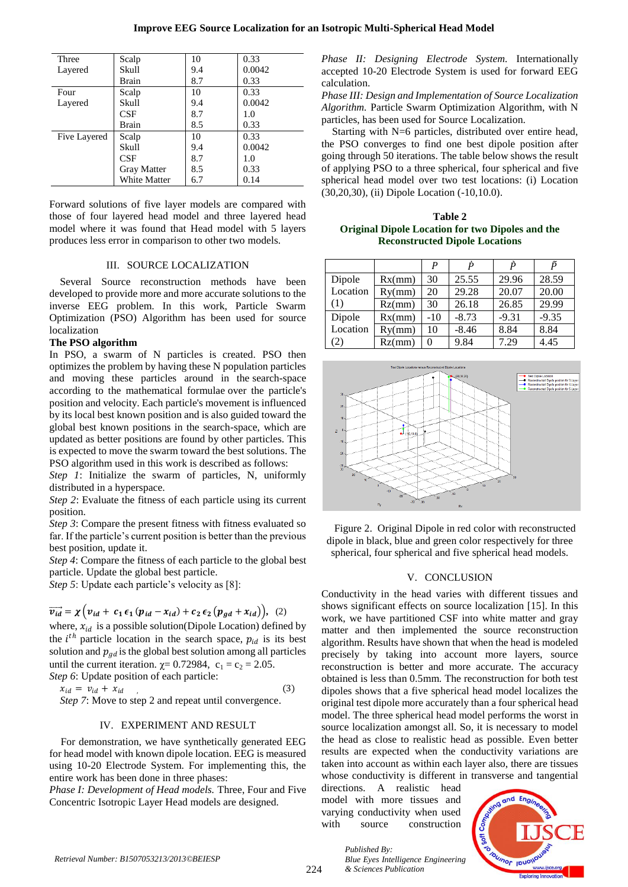| Three        | Scalp              | 10  | 0.33   |  |
|--------------|--------------------|-----|--------|--|
| Layered      | Skull              | 9.4 | 0.0042 |  |
|              | Brain              | 8.7 | 0.33   |  |
| Four         | Scalp              | 10  | 0.33   |  |
| Layered      | Skull              | 9.4 | 0.0042 |  |
|              | CSF                | 8.7 | 1.0    |  |
|              | Brain              | 8.5 | 0.33   |  |
| Five Layered | Scalp              | 10  | 0.33   |  |
|              | Skull              | 9.4 | 0.0042 |  |
|              | <b>CSF</b>         | 8.7 | 1.0    |  |
|              | <b>Gray Matter</b> | 8.5 | 0.33   |  |
|              | White Matter       | 6.7 | 0.14   |  |

Forward solutions of five layer models are compared with those of four layered head model and three layered head model where it was found that Head model with 5 layers produces less error in comparison to other two models.

## III. SOURCE LOCALIZATION

Several Source reconstruction methods have been developed to provide more and more accurate solutions to the inverse EEG problem. In this work, Particle Swarm Optimization (PSO) Algorithm has been used for source localization

#### **The PSO algorithm**

In PSO, a swarm of N particles is created. PSO then optimizes the problem by having these N population particles and moving these particles around in the search-space according to the mathematical formulae over the particle's position and velocity. Each particle's movement is influenced by its local best known position and is also guided toward the global best known positions in the search-space, which are updated as better positions are found by other particles. This is expected to move the swarm toward the best solutions. The PSO algorithm used in this work is described as follows:

*Step 1*: Initialize the swarm of particles, N, uniformly distributed in a hyperspace.

*Step 2*: Evaluate the fitness of each particle using its current position.

*Step 3*: Compare the present fitness with fitness evaluated so far. If the particle's current position is better than the previous best position, update it.

*Step 4*: Compare the fitness of each particle to the global best particle. Update the global best particle.

*Step 5*: Update each particle's velocity as [8]:

$$
\overrightarrow{v_{id}} = \chi \left( v_{id} + c_1 \epsilon_1 (p_{id} - x_{id}) + c_2 \epsilon_2 (p_{gd} + x_{id}) \right), \tag{2}
$$

where,  $x_{id}$  is a possible solution(Dipole Location) defined by the  $i^{th}$  particle location in the search space,  $p_{id}$  is its best solution and  $p_{gd}$  is the global best solution among all particles until the current iteration.  $\chi$  = 0.72984, c<sub>1</sub> = c<sub>2</sub> = 2.05. *Step 6*: Update position of each particle:

$$
x_{id} = v_{id} + x_{id}
$$
 (3)  
 
$$
x_{tan} = v_{id} + x_{id}
$$
 (3)

*Step 7*: Move to step 2 and repeat until convergence.

# IV. EXPERIMENT AND RESULT

For demonstration, we have synthetically generated EEG for head model with known dipole location. EEG is measured using 10-20 Electrode System. For implementing this, the entire work has been done in three phases:

*Phase I: Development of Head models.* Three, Four and Five Concentric Isotropic Layer Head models are designed.

*Phase II: Designing Electrode System.* Internationally accepted 10-20 Electrode System is used for forward EEG calculation.

*Phase III: Design and Implementation of Source Localization Algorithm.* Particle Swarm Optimization Algorithm, with N particles, has been used for Source Localization.

Starting with N=6 particles, distributed over entire head, the PSO converges to find one best dipole position after going through 50 iterations. The table below shows the result of applying PSO to a three spherical, four spherical and five spherical head model over two test locations: (i) Location (30,20,30), (ii) Dipole Location (-10,10.0).

**Table 2 Original Dipole Location for two Dipoles and the Reconstructed Dipole Locations**

|          |        | P     | D       | P       | p       |
|----------|--------|-------|---------|---------|---------|
| Dipole   | Rx(mm) | 30    | 25.55   | 29.96   | 28.59   |
| Location | Ry(mm) | 20    | 29.28   | 20.07   | 20.00   |
| (1)      | Rz(mm) | 30    | 26.18   | 26.85   | 29.99   |
| Dipole   | Rx(mm) | $-10$ | $-8.73$ | $-9.31$ | $-9.35$ |
| Location | Ry(mm) | 10    | $-8.46$ | 8.84    | 8.84    |
| (2)      | Rz(mm) |       | 9.84    | 7.29    | 4.45    |



Figure 2. Original Dipole in red color with reconstructed dipole in black, blue and green color respectively for three spherical, four spherical and five spherical head models.

### V. CONCLUSION

Conductivity in the head varies with different tissues and shows significant effects on source localization [15]. In this work, we have partitioned CSF into white matter and gray matter and then implemented the source reconstruction algorithm. Results have shown that when the head is modeled precisely by taking into account more layers, source reconstruction is better and more accurate. The accuracy obtained is less than 0.5mm. The reconstruction for both test dipoles shows that a five spherical head model localizes the original test dipole more accurately than a four spherical head model. The three spherical head model performs the worst in source localization amongst all. So, it is necessary to model the head as close to realistic head as possible. Even better results are expected when the conductivity variations are taken into account as within each layer also, there are tissues whose conductivity is different in transverse and tangential

directions. A realistic head model with more tissues and varying conductivity when used with source construction

*Blue Eyes Intelligence Engineering* 

*Published By:*

*& Sciences Publication*